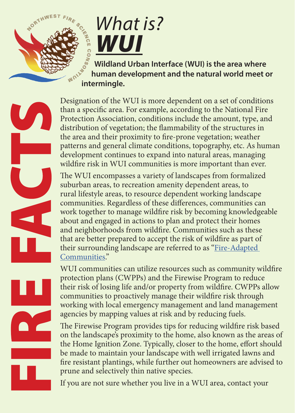

## *What is? WUI*

 **Wildland Urban Interface (WUI) is the area where human development and the natural world meet or intermingle.** 

Designation of the WUI is more dependent on a set of conditions than a specific area. For example, according to the National Fire Protection Association, conditions include the amount, type, and distribution of vegetation; the flammability of the structures in the area and their proximity to fire-prone vegetation; weather patterns and general climate conditions, topography, etc. As human development continues to expand into natural areas, managing wildfire risk in WUI communities is more important than ever.

The WUI encompasses a variety of landscapes from formalized suburban areas, to recreation amenity dependent areas, to rural lifestyle areas, to resource dependent working landscape communities. Regardless of these differences, communities can work together to manage wildfire risk by becoming knowledgeable about and engaged in actions to plan and protect their homes and neighborhoods from wildfire. Communities such as these that are better prepared to accept the risk of wildfire as part of their surrounding landscape are referred to as "[Fire-Adapted](http://www.nwfirescience.org/biblio/nwfsc-fire-facts-what-fire-adapted-community)  [Communities."](http://www.nwfirescience.org/biblio/nwfsc-fire-facts-what-fire-adapted-community) 

WUI communities can utilize resources such as community wildfire protection plans (CWPPs) and the Firewise Program to reduce their risk of losing life and/or property from wildfire. CWPPs allow communities to proactively manage their wildfire risk through working with local emergency management and land management agencies by mapping values at risk and by reducing fuels.

The Firewise Program provides tips for reducing wildfire risk based on the landscape's proximity to the home, also known as the areas of the Home Ignition Zone. Typically, closer to the home, effort should be made to maintain your landscape with well irrigated lawns and fire resistant plantings, while further out homeowners are advised to prune and selectively thin native species.

If you are not sure whether you live in a WUI area, contact your